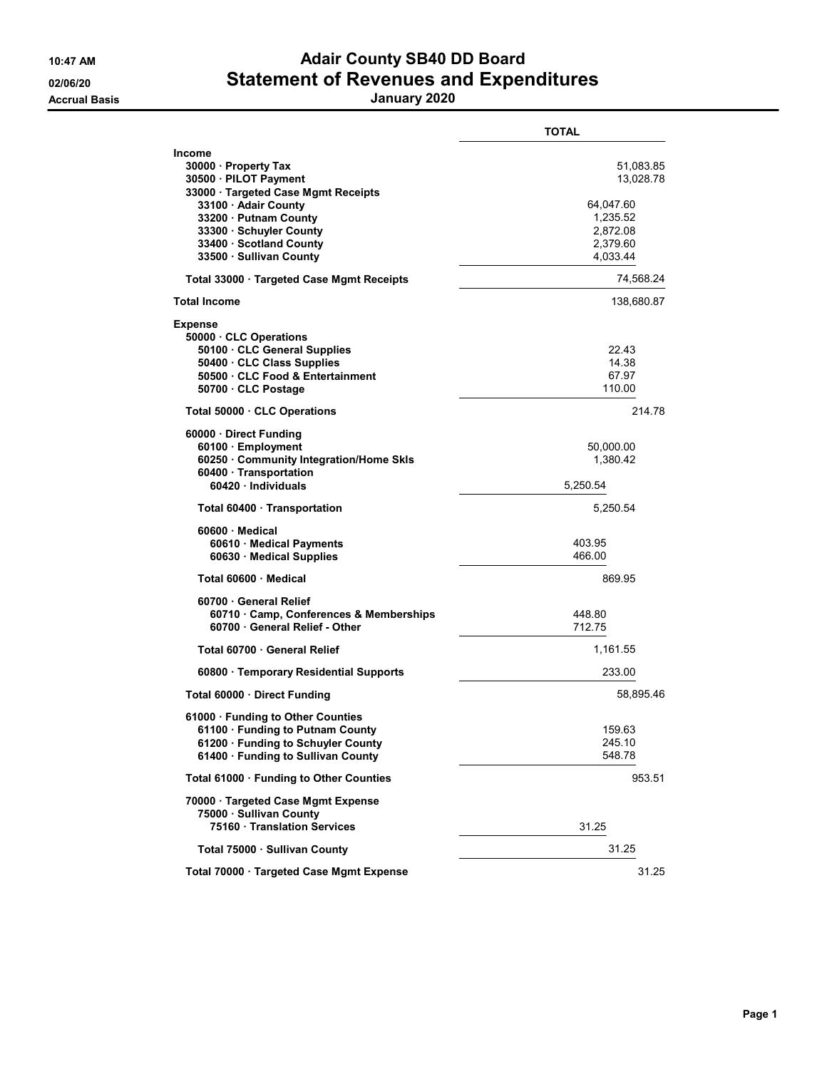## 10:47 AM **Adair County SB40 DD Board** 02/06/20 **Statement of Revenues and Expenditures**

Accrual Basis January 2020

|                                                                                                                                                                                                                                       | <b>TOTAL</b>                                                                        |
|---------------------------------------------------------------------------------------------------------------------------------------------------------------------------------------------------------------------------------------|-------------------------------------------------------------------------------------|
| <b>Income</b><br>30000 · Property Tax<br>30500 · PILOT Payment<br>33000 · Targeted Case Mgmt Receipts<br>33100 · Adair County<br>33200 · Putnam County<br>33300 Schuyler County<br>33400 · Scotland County<br>33500 · Sullivan County | 51,083.85<br>13,028.78<br>64,047.60<br>1,235.52<br>2,872.08<br>2,379.60<br>4,033.44 |
| Total 33000 · Targeted Case Mgmt Receipts                                                                                                                                                                                             | 74,568.24                                                                           |
| <b>Total Income</b>                                                                                                                                                                                                                   | 138,680.87                                                                          |
| <b>Expense</b><br>50000 CLC Operations<br>50100 · CLC General Supplies<br>50400 · CLC Class Supplies<br>50500 CLC Food & Entertainment<br>50700 CLC Postage                                                                           | 22.43<br>14.38<br>67.97<br>110.00                                                   |
| Total 50000 · CLC Operations                                                                                                                                                                                                          | 214.78                                                                              |
| 60000 Direct Funding<br>60100 · Employment<br>60250 Community Integration/Home Skls<br>60400 · Transportation<br>60420 Individuals                                                                                                    | 50,000.00<br>1,380.42<br>5.250.54                                                   |
| Total 60400 · Transportation                                                                                                                                                                                                          | 5,250.54                                                                            |
| 60600 Medical<br>60610 Medical Payments<br>60630 Medical Supplies                                                                                                                                                                     | 403.95<br>466.00                                                                    |
| Total 60600 · Medical                                                                                                                                                                                                                 | 869.95                                                                              |
| 60700 General Relief<br>60710 Camp, Conferences & Memberships<br>60700 General Relief - Other                                                                                                                                         | 448.80<br>712.75                                                                    |
| Total 60700 · General Relief                                                                                                                                                                                                          | 1,161.55                                                                            |
| 60800 · Temporary Residential Supports                                                                                                                                                                                                | 233.00                                                                              |
| Total 60000 · Direct Funding                                                                                                                                                                                                          | 58,895.46                                                                           |
| 61000 · Funding to Other Counties<br>61100 · Funding to Putnam County<br>61200 Funding to Schuyler County<br>61400 · Funding to Sullivan County                                                                                       | 159.63<br>245.10<br>548.78                                                          |
| Total 61000 · Funding to Other Counties                                                                                                                                                                                               | 953.51                                                                              |
| 70000 · Targeted Case Mgmt Expense<br>75000 · Sullivan County<br>75160 Translation Services                                                                                                                                           | 31.25                                                                               |
| Total 75000 · Sullivan County                                                                                                                                                                                                         | 31.25                                                                               |
| Total 70000 · Targeted Case Mgmt Expense                                                                                                                                                                                              | 31.25                                                                               |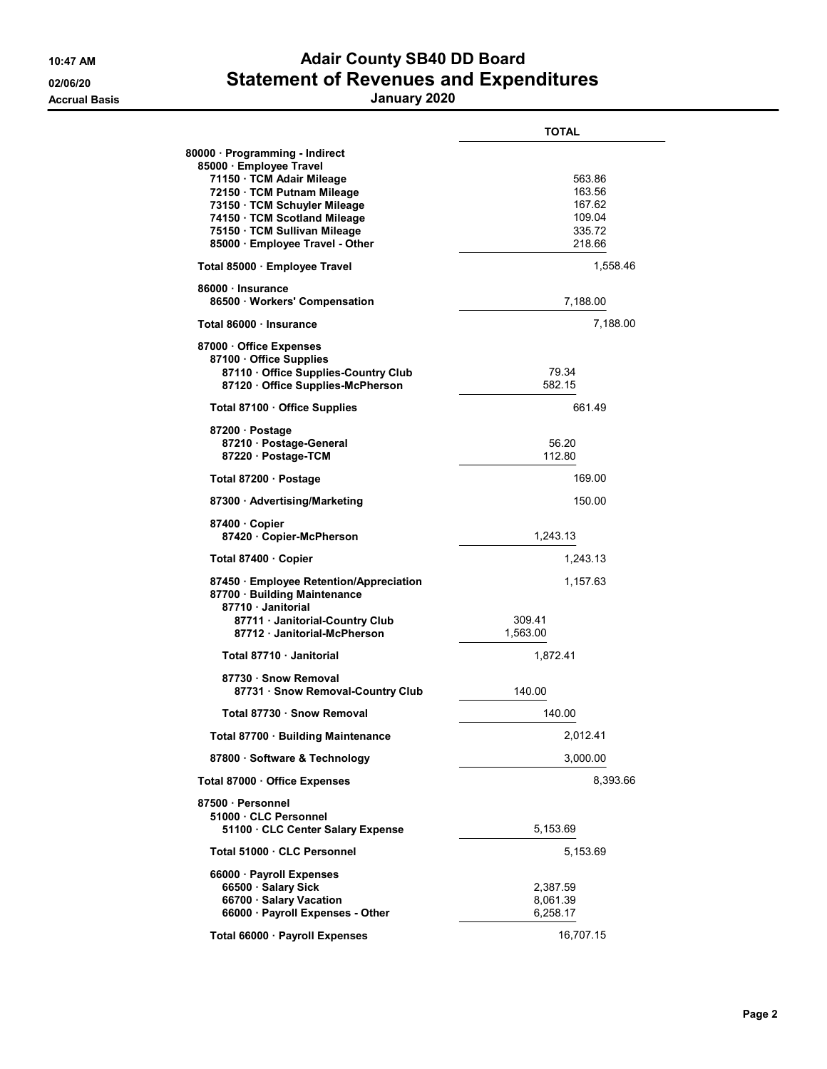## 10:47 AM **Adair County SB40 DD Board** 02/06/20 **Statement of Revenues and Expenditures**

Accrual Basis January 2020

|                                                                                                                                                                                                                                                         | <b>TOTAL</b>                                             |
|---------------------------------------------------------------------------------------------------------------------------------------------------------------------------------------------------------------------------------------------------------|----------------------------------------------------------|
| 80000 · Programming - Indirect<br>85000 · Employee Travel<br>71150 · TCM Adair Mileage<br>72150 · TCM Putnam Mileage<br>73150 · TCM Schuyler Mileage<br>74150 · TCM Scotland Mileage<br>75150 · TCM Sullivan Mileage<br>85000 · Employee Travel - Other | 563.86<br>163.56<br>167.62<br>109.04<br>335.72<br>218.66 |
| Total 85000 · Employee Travel                                                                                                                                                                                                                           | 1,558.46                                                 |
| 86000 · Insurance<br>86500 · Workers' Compensation                                                                                                                                                                                                      | 7,188.00                                                 |
| Total 86000 · Insurance                                                                                                                                                                                                                                 | 7,188.00                                                 |
| 87000 Office Expenses<br>87100 Office Supplies<br>87110 Office Supplies-Country Club<br>87120 Office Supplies-McPherson                                                                                                                                 | 79.34<br>582.15                                          |
| Total 87100 · Office Supplies                                                                                                                                                                                                                           | 66149                                                    |
| 87200 Postage<br>87210 Postage-General<br>87220 · Postage-TCM                                                                                                                                                                                           | 56.20<br>112.80                                          |
| Total 87200 · Postage                                                                                                                                                                                                                                   | 169.00                                                   |
| 87300 · Advertising/Marketing                                                                                                                                                                                                                           | 150.00                                                   |
| 87400 Copier<br>87420 · Copier-McPherson                                                                                                                                                                                                                | 1,243.13                                                 |
| Total 87400 · Copier                                                                                                                                                                                                                                    | 1,243.13                                                 |
| 87450 · Employee Retention/Appreciation<br>87700 · Building Maintenance<br>87710 Janitorial<br>87711 · Janitorial-Country Club<br>87712 Janitorial-McPherson                                                                                            | 1,157.63<br>309.41<br>1,563.00                           |
| Total 87710 Janitorial                                                                                                                                                                                                                                  | 1,872.41                                                 |
| 87730 · Snow Removal<br>87731 · Snow Removal-Country Club                                                                                                                                                                                               | 140.00                                                   |
| Total 87730 · Snow Removal                                                                                                                                                                                                                              | 140.00                                                   |
| Total 87700 · Building Maintenance                                                                                                                                                                                                                      | 2,012.41                                                 |
| 87800 · Software & Technology                                                                                                                                                                                                                           | 3,000.00                                                 |
| Total 87000 · Office Expenses                                                                                                                                                                                                                           | 8,393.66                                                 |
| 87500 · Personnel<br>51000 CLC Personnel<br>51100 CLC Center Salary Expense                                                                                                                                                                             | 5,153.69                                                 |
| Total 51000 · CLC Personnel                                                                                                                                                                                                                             | 5,153.69                                                 |
| 66000 · Payroll Expenses<br>66500 · Salary Sick<br>66700 · Salary Vacation<br>66000 · Payroll Expenses - Other                                                                                                                                          | 2,387.59<br>8,061.39<br>6,258.17                         |
| Total 66000 · Payroll Expenses                                                                                                                                                                                                                          | 16,707.15                                                |